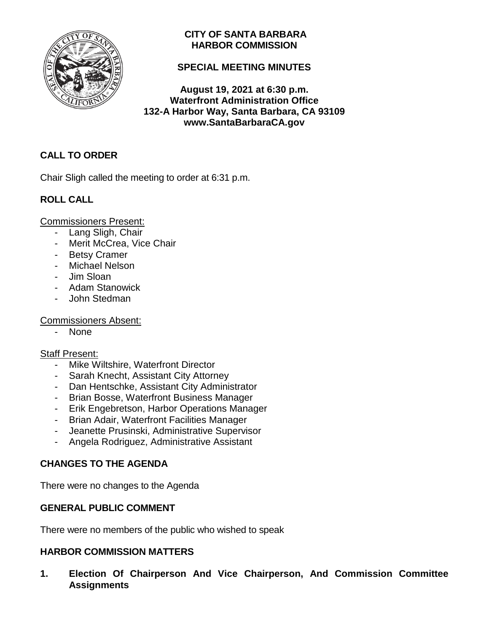

# **CITY OF SANTA BARBARA HARBOR COMMISSION**

# **SPECIAL MEETING MINUTES**

**August 19, 2021 at 6:30 p.m. Waterfront Administration Office 132-A Harbor Way, Santa Barbara, CA 93109 www.SantaBarbaraCA.gov**

# **CALL TO ORDER**

Chair Sligh called the meeting to order at 6:31 p.m.

# **ROLL CALL**

Commissioners Present:

- Lang Sligh, Chair
- Merit McCrea, Vice Chair
- Betsy Cramer
- Michael Nelson
- Jim Sloan
- Adam Stanowick
- John Stedman

Commissioners Absent:

- None

### Staff Present:

- Mike Wiltshire, Waterfront Director
- Sarah Knecht, Assistant City Attorney
- Dan Hentschke, Assistant City Administrator
- Brian Bosse, Waterfront Business Manager
- Erik Engebretson, Harbor Operations Manager
- Brian Adair, Waterfront Facilities Manager
- Jeanette Prusinski, Administrative Supervisor
- Angela Rodriguez, Administrative Assistant

# **CHANGES TO THE AGENDA**

There were no changes to the Agenda

# **GENERAL PUBLIC COMMENT**

There were no members of the public who wished to speak

# **HARBOR COMMISSION MATTERS**

**1. Election Of Chairperson And Vice Chairperson, And Commission Committee Assignments**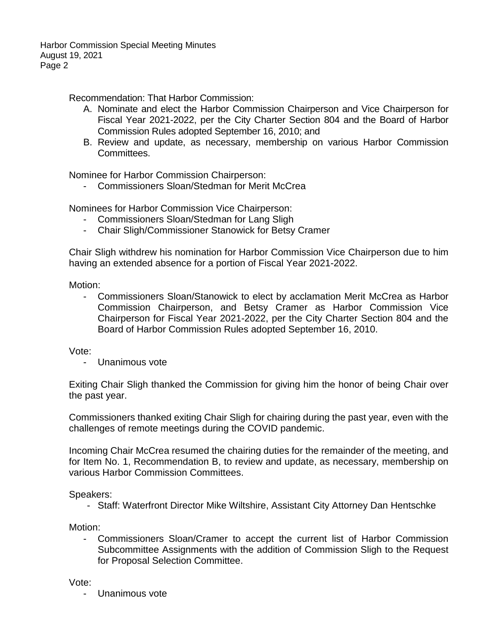Recommendation: That Harbor Commission:

- A. Nominate and elect the Harbor Commission Chairperson and Vice Chairperson for Fiscal Year 2021-2022, per the City Charter Section 804 and the Board of Harbor Commission Rules adopted September 16, 2010; and
- B. Review and update, as necessary, membership on various Harbor Commission Committees.

Nominee for Harbor Commission Chairperson:

- Commissioners Sloan/Stedman for Merit McCrea

Nominees for Harbor Commission Vice Chairperson:

- Commissioners Sloan/Stedman for Lang Sligh
- Chair Sligh/Commissioner Stanowick for Betsy Cramer

Chair Sligh withdrew his nomination for Harbor Commission Vice Chairperson due to him having an extended absence for a portion of Fiscal Year 2021-2022.

Motion:

- Commissioners Sloan/Stanowick to elect by acclamation Merit McCrea as Harbor Commission Chairperson, and Betsy Cramer as Harbor Commission Vice Chairperson for Fiscal Year 2021-2022, per the City Charter Section 804 and the Board of Harbor Commission Rules adopted September 16, 2010.

Vote:

- Unanimous vote

Exiting Chair Sligh thanked the Commission for giving him the honor of being Chair over the past year.

Commissioners thanked exiting Chair Sligh for chairing during the past year, even with the challenges of remote meetings during the COVID pandemic.

Incoming Chair McCrea resumed the chairing duties for the remainder of the meeting, and for Item No. 1, Recommendation B, to review and update, as necessary, membership on various Harbor Commission Committees.

Speakers:

- Staff: Waterfront Director Mike Wiltshire, Assistant City Attorney Dan Hentschke

Motion:

- Commissioners Sloan/Cramer to accept the current list of Harbor Commission Subcommittee Assignments with the addition of Commission Sligh to the Request for Proposal Selection Committee.

Vote:

- Unanimous vote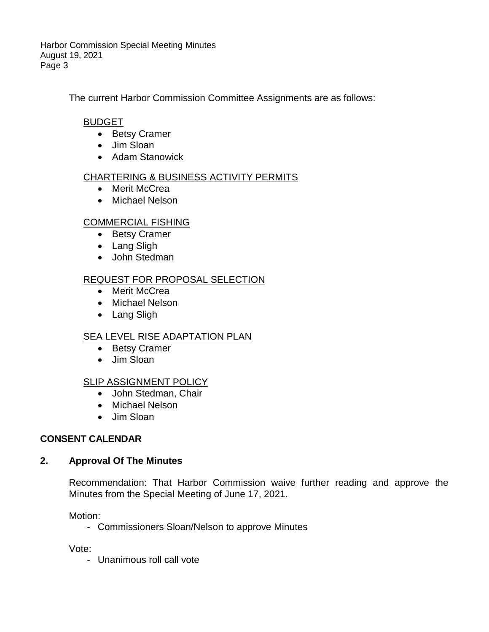The current Harbor Commission Committee Assignments are as follows:

# BUDGET

- Betsy Cramer
- Jim Sloan
- Adam Stanowick

## CHARTERING & BUSINESS ACTIVITY PERMITS

- Merit McCrea
- Michael Nelson

## COMMERCIAL FISHING

- Betsy Cramer
- Lang Sligh
- John Stedman

## REQUEST FOR PROPOSAL SELECTION

- Merit McCrea
- Michael Nelson
- Lang Sligh

### **SEA LEVEL RISE ADAPTATION PLAN**

- Betsy Cramer
- Jim Sloan

### SLIP ASSIGNMENT POLICY

- John Stedman, Chair
- Michael Nelson
- Jim Sloan

### **CONSENT CALENDAR**

### **2. Approval Of The Minutes**

Recommendation: That Harbor Commission waive further reading and approve the Minutes from the Special Meeting of June 17, 2021.

Motion:

- Commissioners Sloan/Nelson to approve Minutes

Vote:

- Unanimous roll call vote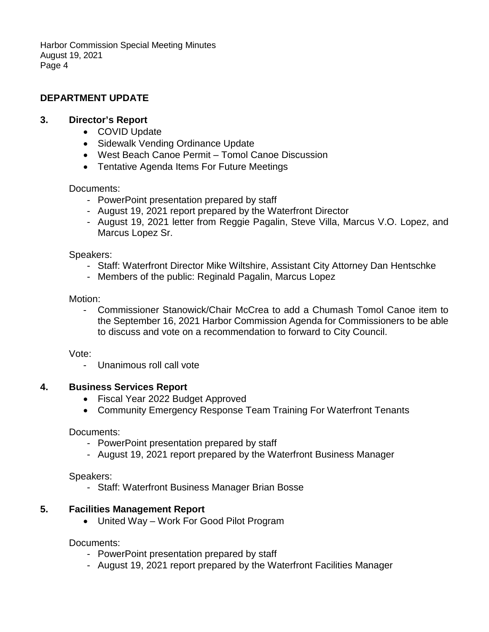# **DEPARTMENT UPDATE**

### **3. Director's Report**

- COVID Update
- Sidewalk Vending Ordinance Update
- West Beach Canoe Permit Tomol Canoe Discussion
- Tentative Agenda Items For Future Meetings

#### Documents:

- PowerPoint presentation prepared by staff
- August 19, 2021 report prepared by the Waterfront Director
- August 19, 2021 letter from Reggie Pagalin, Steve Villa, Marcus V.O. Lopez, and Marcus Lopez Sr.

#### Speakers:

- Staff: Waterfront Director Mike Wiltshire, Assistant City Attorney Dan Hentschke
- Members of the public: Reginald Pagalin, Marcus Lopez

#### Motion:

- Commissioner Stanowick/Chair McCrea to add a Chumash Tomol Canoe item to the September 16, 2021 Harbor Commission Agenda for Commissioners to be able to discuss and vote on a recommendation to forward to City Council.

#### Vote:

- Unanimous roll call vote

### **4. Business Services Report**

- Fiscal Year 2022 Budget Approved
- Community Emergency Response Team Training For Waterfront Tenants

#### Documents:

- PowerPoint presentation prepared by staff
- August 19, 2021 report prepared by the Waterfront Business Manager

#### Speakers:

- Staff: Waterfront Business Manager Brian Bosse

### **5. Facilities Management Report**

• United Way – Work For Good Pilot Program

#### Documents:

- PowerPoint presentation prepared by staff
- August 19, 2021 report prepared by the Waterfront Facilities Manager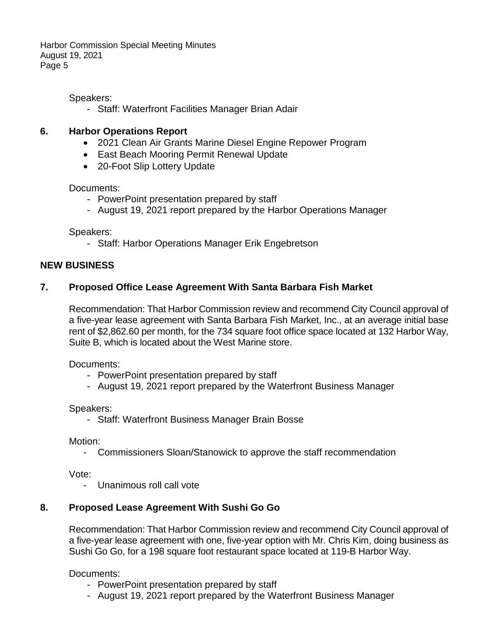Speakers:

- Staff: Waterfront Facilities Manager Brian Adair

## **6. Harbor Operations Report**

- 2021 Clean Air Grants Marine Diesel Engine Repower Program
- East Beach Mooring Permit Renewal Update
- 20-Foot Slip Lottery Update

### Documents:

- PowerPoint presentation prepared by staff
- August 19, 2021 report prepared by the Harbor Operations Manager

Speakers:

- Staff: Harbor Operations Manager Erik Engebretson

### **NEW BUSINESS**

## **7. Proposed Office Lease Agreement With Santa Barbara Fish Market**

Recommendation: That Harbor Commission review and recommend City Council approval of a five-year lease agreement with Santa Barbara Fish Market, Inc., at an average initial base rent of \$2,862.60 per month, for the 734 square foot office space located at 132 Harbor Way, Suite B, which is located about the West Marine store.

Documents:

- PowerPoint presentation prepared by staff
- August 19, 2021 report prepared by the Waterfront Business Manager

### Speakers:

- Staff: Waterfront Business Manager Brain Bosse

Motion:

- Commissioners Sloan/Stanowick to approve the staff recommendation

Vote:

- Unanimous roll call vote

# **8. Proposed Lease Agreement With Sushi Go Go**

Recommendation: That Harbor Commission review and recommend City Council approval of a five-year lease agreement with one, five-year option with Mr. Chris Kim, doing business as Sushi Go Go, for a 198 square foot restaurant space located at 119-B Harbor Way.

Documents:

- PowerPoint presentation prepared by staff
- August 19, 2021 report prepared by the Waterfront Business Manager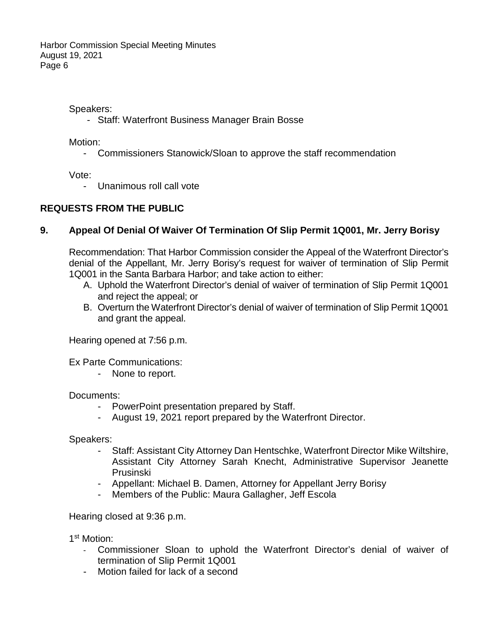Speakers:

- Staff: Waterfront Business Manager Brain Bosse

Motion:

- Commissioners Stanowick/Sloan to approve the staff recommendation

Vote:

- Unanimous roll call vote

# **REQUESTS FROM THE PUBLIC**

# **9. Appeal Of Denial Of Waiver Of Termination Of Slip Permit 1Q001, Mr. Jerry Borisy**

Recommendation: That Harbor Commission consider the Appeal of the Waterfront Director's denial of the Appellant, Mr. Jerry Borisy's request for waiver of termination of Slip Permit 1Q001 in the Santa Barbara Harbor; and take action to either:

- A. Uphold the Waterfront Director's denial of waiver of termination of Slip Permit 1Q001 and reject the appeal; or
- B. Overturn the Waterfront Director's denial of waiver of termination of Slip Permit 1Q001 and grant the appeal.

Hearing opened at 7:56 p.m.

Ex Parte Communications:

- None to report.

Documents:

- PowerPoint presentation prepared by Staff.
- August 19, 2021 report prepared by the Waterfront Director.

Speakers:

- Staff: Assistant City Attorney Dan Hentschke, Waterfront Director Mike Wiltshire, Assistant City Attorney Sarah Knecht, Administrative Supervisor Jeanette Prusinski
- Appellant: Michael B. Damen, Attorney for Appellant Jerry Borisy
- Members of the Public: Maura Gallagher, Jeff Escola

Hearing closed at 9:36 p.m.

1st Motion:

- Commissioner Sloan to uphold the Waterfront Director's denial of waiver of termination of Slip Permit 1Q001
- Motion failed for lack of a second